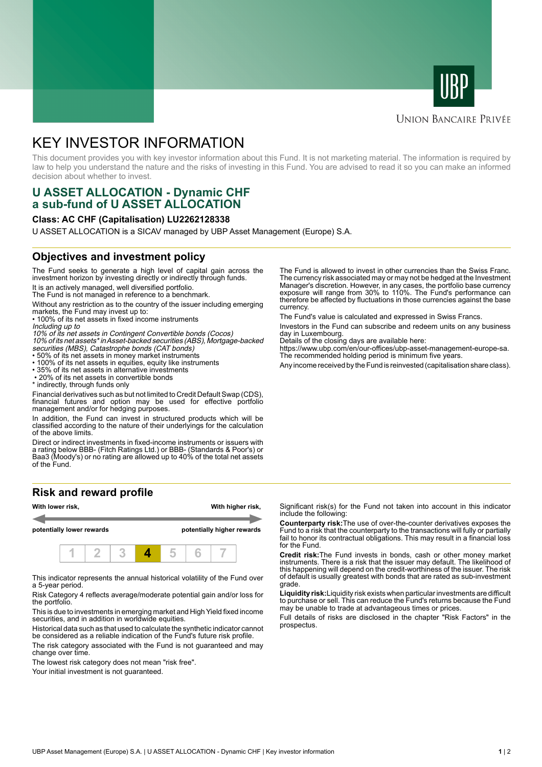



# **UNION BANCAIRE PRIVÉE**

# KEY INVESTOR INFORMATION

This document provides you with key investor information about this Fund. It is not marketing material. The information is required by law to help you understand the nature and the risks of investing in this Fund. You are advised to read it so you can make an informed decision about whether to invest.

# **U ASSET ALLOCATION - Dynamic CHF a sub-fund of U ASSET ALLOCATION**

#### **Class: AC CHF (Capitalisation) LU2262128338**

U ASSET ALLOCATION is a SICAV managed by UBP Asset Management (Europe) S.A.

### **Objectives and investment policy**

The Fund seeks to generate a high level of capital gain across the investment horizon by investing directly or indirectly through funds.

It is an actively managed, well diversified portfolio.

The Fund is not managed in reference to a benchmark.

Without any restriction as to the country of the issuer including emerging markets, the Fund may invest up to:

• 100% of its net assets in fixed income instruments Including up to

10% of its net assets in Contingent Convertible bonds (Cocos) 10% of its net assets\* in Asset-backed securities (ABS), Mortgage-backed

- securities (MBS), Catastrophe bonds (CAT bonds) 50% of its net assets in money market instruments
- 100% of its net assets in equities, equity like instruments
- 35% of its net assets in alternative investments • 20% of its net assets in convertible bonds

\* indirectly, through funds only

Financial derivatives such as but not limited to Credit Default Swap (CDS), financial futures and option may be used for effective portfolio management and/or for hedging purposes.

In addition, the Fund can invest in structured products which will be classified according to the nature of their underlyings for the calculation of the above limits.

Direct or indirect investments in fixed-income instruments or issuers with a rating below BBB- (Fitch Ratings Ltd.) or BBB- (Standards & Poor's) or Baa3 (Moody's) or no rating are allowed up to 40% of the total net assets of the Fund.

#### **Risk and reward profile**



This indicator represents the annual historical volatility of the Fund over a 5-year period.

Risk Category 4 reflects average/moderate potential gain and/or loss for the portfolio.

This is due to investments in emerging market and High Yield fixed income securities, and in addition in worldwide equities.

Historical data such as that used to calculate the synthetic indicator cannot be considered as a reliable indication of the Fund's future risk profile.

The risk category associated with the Fund is not guaranteed and may change over time.

The lowest risk category does not mean "risk free".

Your initial investment is not guaranteed.

The Fund is allowed to invest in other currencies than the Swiss Franc. The currency risk associated may or may not be hedged at the Investment Manager's discretion. However, in any cases, the portfolio base currency exposure will range from 30% to 110%. The Fund's performance can therefore be affected by fluctuations in those currencies against the base currency.

The Fund's value is calculated and expressed in Swiss Francs.

Investors in the Fund can subscribe and redeem units on any business day in Luxembourg.

Details of the closing days are available here:

https://www.ubp.com/en/our-offices/ubp-asset-management-europe-sa. The recommended holding period is minimum five years.

Any income received by the Fund is reinvested (capitalisation share class).

Significant risk(s) for the Fund not taken into account in this indicator include the following:

**Counterparty risk:**The use of over-the-counter derivatives exposes the Fund to a risk that the counterparty to the transactions will fully or partially fail to honor its contractual obligations. This may result in a financial loss for the Fund.

**Credit risk:**The Fund invests in bonds, cash or other money market instruments. There is a risk that the issuer may default. The likelihood of this happening will depend on the credit-worthiness of the issuer. The risk of default is usually greatest with bonds that are rated as sub-investment grade.

**Liquidity risk:**Liquidity risk exists when particular investments are difficult to purchase or sell. This can reduce the Fund's returns because the Fund may be unable to trade at advantageous times or prices.

Full details of risks are disclosed in the chapter "Risk Factors" in the prospectus.